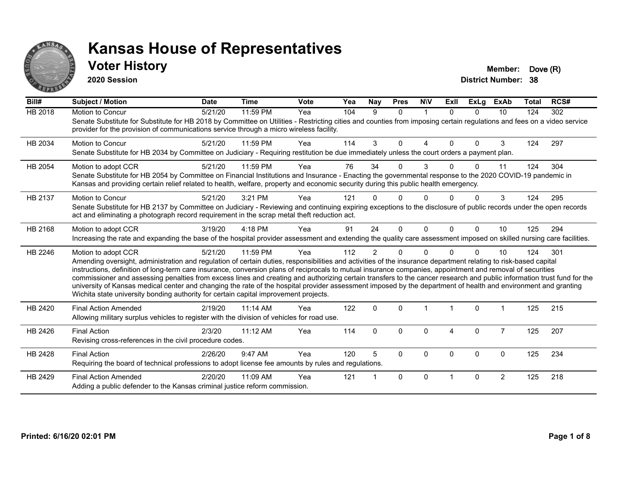

#### **Voter History Member: Dove (R)**

**2020 Session**

| Bill#          | <b>Subject / Motion</b>                                                                                                                                                                                                                                                                                                                                                                                                                                                                                                                                                                                                                                                                                                                                                                  | <b>Date</b> | <b>Time</b> | <b>Vote</b> | Yea | Nay            | <b>Pres</b> | <b>NIV</b>  | ExII     | <b>ExLg</b> | <b>ExAb</b>    | <b>Total</b> | RCS# |
|----------------|------------------------------------------------------------------------------------------------------------------------------------------------------------------------------------------------------------------------------------------------------------------------------------------------------------------------------------------------------------------------------------------------------------------------------------------------------------------------------------------------------------------------------------------------------------------------------------------------------------------------------------------------------------------------------------------------------------------------------------------------------------------------------------------|-------------|-------------|-------------|-----|----------------|-------------|-------------|----------|-------------|----------------|--------------|------|
| <b>HB 2018</b> | Motion to Concur<br>Senate Substitute for Substitute for HB 2018 by Committee on Utilities - Restricting cities and counties from imposing certain regulations and fees on a video service<br>provider for the provision of communications service through a micro wireless facility.                                                                                                                                                                                                                                                                                                                                                                                                                                                                                                    | 5/21/20     | 11:59 PM    | Yea         | 104 | 9              | $\Omega$    | $\mathbf 1$ | $\Omega$ | $\Omega$    | 10             | 124          | 302  |
| HB 2034        | <b>Motion to Concur</b><br>Senate Substitute for HB 2034 by Committee on Judiciary - Requiring restitution be due immediately unless the court orders a payment plan.                                                                                                                                                                                                                                                                                                                                                                                                                                                                                                                                                                                                                    | 5/21/20     | 11:59 PM    | Yea         | 114 | 3              | $\Omega$    | 4           | $\Omega$ | $\Omega$    | 3              | 124          | 297  |
| HB 2054        | Motion to adopt CCR<br>Senate Substitute for HB 2054 by Committee on Financial Institutions and Insurance - Enacting the governmental response to the 2020 COVID-19 pandemic in<br>Kansas and providing certain relief related to health, welfare, property and economic security during this public health emergency.                                                                                                                                                                                                                                                                                                                                                                                                                                                                   | 5/21/20     | 11:59 PM    | Yea         | 76  | 34             | 0           | 3           |          | 0           | 11             | 124          | 304  |
| HB 2137        | Motion to Concur<br>Senate Substitute for HB 2137 by Committee on Judiciary - Reviewing and continuing expiring exceptions to the disclosure of public records under the open records<br>act and eliminating a photograph record requirement in the scrap metal theft reduction act.                                                                                                                                                                                                                                                                                                                                                                                                                                                                                                     | 5/21/20     | 3:21 PM     | Yea         | 121 |                | 0           | O           |          | 0           | 3              | 124          | 295  |
| HB 2168        | Motion to adopt CCR<br>Increasing the rate and expanding the base of the hospital provider assessment and extending the quality care assessment imposed on skilled nursing care facilities.                                                                                                                                                                                                                                                                                                                                                                                                                                                                                                                                                                                              | 3/19/20     | 4:18 PM     | Yea         | 91  | 24             | $\Omega$    | $\Omega$    | $\Omega$ | $\Omega$    | 10             | 125          | 294  |
| HB 2246        | Motion to adopt CCR<br>Amending oversight, administration and regulation of certain duties, responsibilities and activities of the insurance department relating to risk-based capital<br>instructions, definition of long-term care insurance, conversion plans of reciprocals to mutual insurance companies, appointment and removal of securities<br>commissioner and assessing penalties from excess lines and creating and authorizing certain transfers to the cancer research and public information trust fund for the<br>university of Kansas medical center and changing the rate of the hospital provider assessment imposed by the department of health and environment and granting<br>Wichita state university bonding authority for certain capital improvement projects. | 5/21/20     | 11:59 PM    | Yea         | 112 | $\overline{2}$ | 0           | $\Omega$    |          | $\Omega$    | 10             | 124          | 301  |
| HB 2420        | <b>Final Action Amended</b><br>Allowing military surplus vehicles to register with the division of vehicles for road use.                                                                                                                                                                                                                                                                                                                                                                                                                                                                                                                                                                                                                                                                | 2/19/20     | $11:14$ AM  | Yea         | 122 | $\mathbf 0$    | $\Omega$    |             |          | $\mathbf 0$ |                | 125          | 215  |
| HB 2426        | <b>Final Action</b><br>Revising cross-references in the civil procedure codes.                                                                                                                                                                                                                                                                                                                                                                                                                                                                                                                                                                                                                                                                                                           | 2/3/20      | 11:12 AM    | Yea         | 114 | $\Omega$       | $\Omega$    | 0           | 4        | $\mathbf 0$ | $\overline{7}$ | 125          | 207  |
| HB 2428        | <b>Final Action</b><br>Requiring the board of technical professions to adopt license fee amounts by rules and regulations.                                                                                                                                                                                                                                                                                                                                                                                                                                                                                                                                                                                                                                                               | 2/26/20     | 9:47 AM     | Yea         | 120 | 5              | $\Omega$    | 0           | $\Omega$ | $\mathbf 0$ | $\mathbf 0$    | 125          | 234  |
| HB 2429        | <b>Final Action Amended</b><br>Adding a public defender to the Kansas criminal justice reform commission.                                                                                                                                                                                                                                                                                                                                                                                                                                                                                                                                                                                                                                                                                | 2/20/20     | 11:09 AM    | Yea         | 121 |                | $\Omega$    | $\Omega$    |          | $\Omega$    | $\overline{2}$ | 125          | 218  |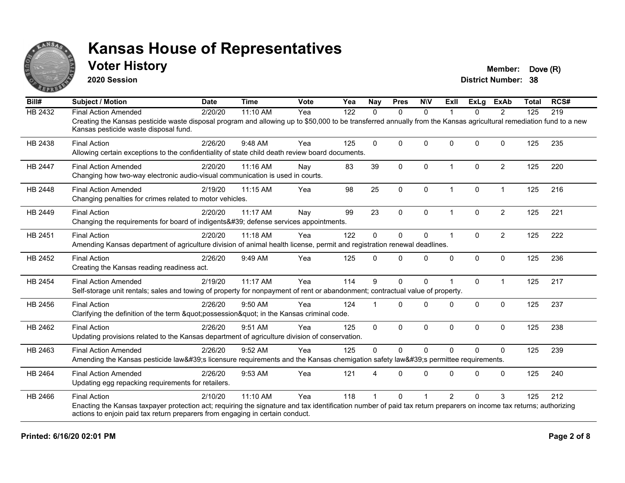

#### **Voter History Member: Dove (R)**

**2020 Session**

| Bill#          | <b>Subject / Motion</b>                                                                                                                                                                                     | <b>Date</b> | <b>Time</b> | <b>Vote</b> | Yea | <b>Nay</b>   | <b>Pres</b>  | <b>NIV</b>   | <b>Exll</b>    | ExLg         | <b>ExAb</b>    | <b>Total</b> | RCS# |
|----------------|-------------------------------------------------------------------------------------------------------------------------------------------------------------------------------------------------------------|-------------|-------------|-------------|-----|--------------|--------------|--------------|----------------|--------------|----------------|--------------|------|
| <b>HB 2432</b> | <b>Final Action Amended</b>                                                                                                                                                                                 | 2/20/20     | 11:10 AM    | Yea         | 122 | $\Omega$     | $\mathbf{0}$ | $\mathbf{0}$ |                | $\Omega$     | $\overline{2}$ | 125          | 219  |
|                | Creating the Kansas pesticide waste disposal program and allowing up to \$50,000 to be transferred annually from the Kansas agricultural remediation fund to a new<br>Kansas pesticide waste disposal fund. |             |             |             |     |              |              |              |                |              |                |              |      |
| HB 2438        | <b>Final Action</b>                                                                                                                                                                                         | 2/26/20     | 9:48 AM     | Yea         | 125 | $\Omega$     | $\Omega$     | $\Omega$     | $\Omega$       | $\Omega$     | $\Omega$       | 125          | 235  |
|                | Allowing certain exceptions to the confidentiality of state child death review board documents.                                                                                                             |             |             |             |     |              |              |              |                |              |                |              |      |
| <b>HB 2447</b> | <b>Final Action Amended</b>                                                                                                                                                                                 | 2/20/20     | 11:16 AM    | Nay         | 83  | 39           | 0            | $\Omega$     | $\overline{1}$ | $\mathbf{0}$ | $\overline{2}$ | 125          | 220  |
|                | Changing how two-way electronic audio-visual communication is used in courts.                                                                                                                               |             |             |             |     |              |              |              |                |              |                |              |      |
| HB 2448        | <b>Final Action Amended</b>                                                                                                                                                                                 | 2/19/20     | 11:15 AM    | Yea         | 98  | 25           | $\pmb{0}$    | $\mathbf 0$  | $\overline{1}$ | 0            | $\mathbf{1}$   | 125          | 216  |
|                | Changing penalties for crimes related to motor vehicles.                                                                                                                                                    |             |             |             |     |              |              |              |                |              |                |              |      |
| HB 2449        | <b>Final Action</b>                                                                                                                                                                                         | 2/20/20     | 11:17 AM    | Nay         | 99  | 23           | $\mathbf{0}$ | $\Omega$     |                | $\Omega$     | $\overline{2}$ | 125          | 221  |
|                | Changing the requirements for board of indigents' defense services appointments.                                                                                                                            |             |             |             |     |              |              |              |                |              |                |              |      |
| HB 2451        | <b>Final Action</b>                                                                                                                                                                                         | 2/20/20     | 11:18 AM    | Yea         | 122 | $\Omega$     | 0            | $\mathbf 0$  | 1              | $\mathbf{0}$ | $\overline{2}$ | 125          | 222  |
|                | Amending Kansas department of agriculture division of animal health license, permit and registration renewal deadlines.                                                                                     |             |             |             |     |              |              |              |                |              |                |              |      |
| HB 2452        | <b>Final Action</b>                                                                                                                                                                                         | 2/26/20     | 9:49 AM     | Yea         | 125 | $\Omega$     | $\Omega$     | $\Omega$     | $\Omega$       | $\Omega$     | $\mathbf 0$    | 125          | 236  |
|                | Creating the Kansas reading readiness act.                                                                                                                                                                  |             |             |             |     |              |              |              |                |              |                |              |      |
| HB 2454        | <b>Final Action Amended</b>                                                                                                                                                                                 | 2/19/20     | 11:17 AM    | Yea         | 114 | 9            | $\mathbf{0}$ | $\Omega$     |                | $\Omega$     | $\mathbf{1}$   | 125          | 217  |
|                | Self-storage unit rentals; sales and towing of property for nonpayment of rent or abandonment; contractual value of property.                                                                               |             |             |             |     |              |              |              |                |              |                |              |      |
| HB 2456        | <b>Final Action</b>                                                                                                                                                                                         | 2/26/20     | $9:50$ AM   | Yea         | 124 |              | $\Omega$     | $\Omega$     | 0              | $\Omega$     | $\Omega$       | 125          | 237  |
|                | Clarifying the definition of the term "possession" in the Kansas criminal code.                                                                                                                             |             |             |             |     |              |              |              |                |              |                |              |      |
| HB 2462        | <b>Final Action</b>                                                                                                                                                                                         | 2/26/20     | 9:51 AM     | Yea         | 125 | $\mathbf{0}$ | $\Omega$     | $\Omega$     | $\Omega$       | $\Omega$     | $\Omega$       | 125          | 238  |
|                | Updating provisions related to the Kansas department of agriculture division of conservation.                                                                                                               |             |             |             |     |              |              |              |                |              |                |              |      |
| HB 2463        | <b>Final Action Amended</b>                                                                                                                                                                                 | 2/26/20     | 9:52 AM     | Yea         | 125 | $\Omega$     | $\Omega$     | $\Omega$     | $\Omega$       | $\Omega$     | $\Omega$       | 125          | 239  |
|                | Amending the Kansas pesticide law's licensure requirements and the Kansas chemigation safety law's permittee requirements.                                                                                  |             |             |             |     |              |              |              |                |              |                |              |      |
| HB 2464        | <b>Final Action Amended</b>                                                                                                                                                                                 | 2/26/20     | 9:53 AM     | Yea         | 121 |              | $\Omega$     | $\Omega$     | $\Omega$       | $\Omega$     | $\Omega$       | 125          | 240  |
|                | Updating egg repacking requirements for retailers.                                                                                                                                                          |             |             |             |     |              |              |              |                |              |                |              |      |
| HB 2466        | <b>Final Action</b>                                                                                                                                                                                         | 2/10/20     | $11:10$ AM  | Yea         | 118 |              | $\mathbf{0}$ |              | $\mathfrak{p}$ | $\Omega$     | 3              | 125          | 212  |
|                | Enacting the Kansas taxpayer protection act; requiring the signature and tax identification number of paid tax return preparers on income tax returns; authorizing                                          |             |             |             |     |              |              |              |                |              |                |              |      |
|                | actions to enjoin paid tax return preparers from engaging in certain conduct.                                                                                                                               |             |             |             |     |              |              |              |                |              |                |              |      |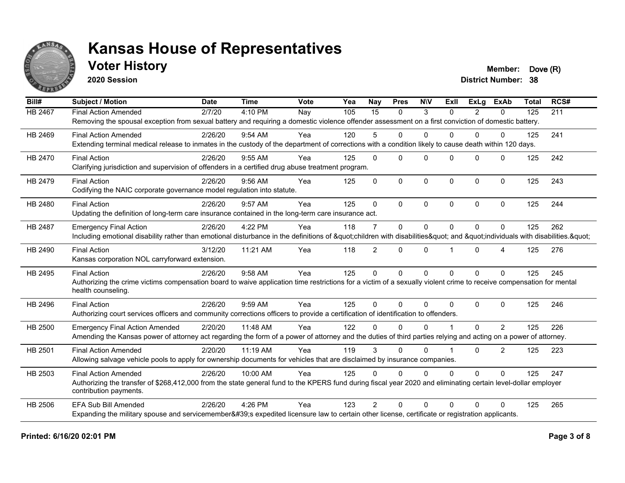

### **Voter History Member: Dove (R)**

**2020 Session**

| Bill#          | <b>Subject / Motion</b>                                                                                                                                             | <b>Date</b> | <b>Time</b> | Vote | Yea | Nay             | <b>Pres</b>  | <b>NIV</b>  | ExII         | <b>ExLg</b> | <b>ExAb</b>  | <b>Total</b> | RCS# |
|----------------|---------------------------------------------------------------------------------------------------------------------------------------------------------------------|-------------|-------------|------|-----|-----------------|--------------|-------------|--------------|-------------|--------------|--------------|------|
| <b>HB 2467</b> | <b>Final Action Amended</b>                                                                                                                                         | 2/7/20      | 4:10 PM     | Nay  | 105 | $\overline{15}$ | $\mathbf{0}$ | 3           | $\Omega$     | 2           | 0            | 125          | 211  |
|                | Removing the spousal exception from sexual battery and requiring a domestic violence offender assessment on a first conviction of domestic battery.                 |             |             |      |     |                 |              |             |              |             |              |              |      |
| HB 2469        | <b>Final Action Amended</b>                                                                                                                                         | 2/26/20     | $9:54$ AM   | Yea  | 120 | 5               | 0            | $\Omega$    | 0            | $\Omega$    | 0            | 125          | 241  |
|                | Extending terminal medical release to inmates in the custody of the department of corrections with a condition likely to cause death within 120 days.               |             |             |      |     |                 |              |             |              |             |              |              |      |
| HB 2470        | <b>Final Action</b>                                                                                                                                                 | 2/26/20     | 9:55 AM     | Yea  | 125 | $\Omega$        | $\Omega$     | $\Omega$    | $\Omega$     | $\Omega$    | $\mathbf{0}$ | 125          | 242  |
|                | Clarifying jurisdiction and supervision of offenders in a certified drug abuse treatment program.                                                                   |             |             |      |     |                 |              |             |              |             |              |              |      |
| HB 2479        | <b>Final Action</b>                                                                                                                                                 | 2/26/20     | 9:56 AM     | Yea  | 125 | $\Omega$        | $\mathbf{0}$ | $\Omega$    | $\Omega$     | $\Omega$    | $\mathbf 0$  | 125          | 243  |
|                | Codifying the NAIC corporate governance model regulation into statute.                                                                                              |             |             |      |     |                 |              |             |              |             |              |              |      |
| HB 2480        | <b>Final Action</b>                                                                                                                                                 | 2/26/20     | 9:57 AM     | Yea  | 125 | $\mathbf{0}$    | $\mathbf{0}$ | $\Omega$    | $\mathbf{0}$ | $\Omega$    | $\Omega$     | 125          | 244  |
|                | Updating the definition of long-term care insurance contained in the long-term care insurance act.                                                                  |             |             |      |     |                 |              |             |              |             |              |              |      |
| HB 2487        | <b>Emergency Final Action</b>                                                                                                                                       | 2/26/20     | 4:22 PM     | Yea  | 118 | $\overline{7}$  | $\mathbf{0}$ | $\Omega$    | $\Omega$     | $\Omega$    | $\Omega$     | 125          | 262  |
|                | Including emotional disability rather than emotional disturbance in the definitions of "children with disabilities" and "individuals with disabilities. "           |             |             |      |     |                 |              |             |              |             |              |              |      |
| HB 2490        | <b>Final Action</b>                                                                                                                                                 | 3/12/20     | 11:21 AM    | Yea  | 118 | $\overline{2}$  | $\Omega$     | $\Omega$    |              | $\Omega$    | 4            | 125          | 276  |
|                | Kansas corporation NOL carryforward extension.                                                                                                                      |             |             |      |     |                 |              |             |              |             |              |              |      |
| HB 2495        | <b>Final Action</b>                                                                                                                                                 | 2/26/20     | 9:58 AM     | Yea  | 125 | $\mathbf 0$     | $\mathbf 0$  | $\mathbf 0$ | $\Omega$     | $\Omega$    | $\Omega$     | 125          | 245  |
|                | Authorizing the crime victims compensation board to waive application time restrictions for a victim of a sexually violent crime to receive compensation for mental |             |             |      |     |                 |              |             |              |             |              |              |      |
|                | health counseling.                                                                                                                                                  |             |             |      |     |                 |              |             |              |             |              |              |      |
| HB 2496        | <b>Final Action</b>                                                                                                                                                 | 2/26/20     | 9:59 AM     | Yea  | 125 | $\Omega$        | $\mathbf{0}$ | $\Omega$    | $\Omega$     | $\Omega$    | $\mathbf 0$  | 125          | 246  |
|                | Authorizing court services officers and community corrections officers to provide a certification of identification to offenders.                                   |             |             |      |     |                 |              |             |              |             |              |              |      |
| HB 2500        | <b>Emergency Final Action Amended</b>                                                                                                                               | 2/20/20     | 11:48 AM    | Yea  | 122 | $\Omega$        | $\Omega$     | $\Omega$    |              | $\Omega$    | 2            | 125          | 226  |
|                | Amending the Kansas power of attorney act regarding the form of a power of attorney and the duties of third parties relying and acting on a power of attorney.      |             |             |      |     |                 |              |             |              |             |              |              |      |
| HB 2501        | <b>Final Action Amended</b>                                                                                                                                         | 2/20/20     | 11:19 AM    | Yea  | 119 | 3               | $\Omega$     | $\Omega$    |              | $\Omega$    | 2            | 125          | 223  |
|                | Allowing salvage vehicle pools to apply for ownership documents for vehicles that are disclaimed by insurance companies.                                            |             |             |      |     |                 |              |             |              |             |              |              |      |
| HB 2503        | <b>Final Action Amended</b>                                                                                                                                         | 2/26/20     | 10:00 AM    | Yea  | 125 | $\Omega$        | $\Omega$     | $\Omega$    | $\Omega$     | $\Omega$    | $\Omega$     | 125          | 247  |
|                | Authorizing the transfer of \$268,412,000 from the state general fund to the KPERS fund during fiscal year 2020 and eliminating certain level-dollar employer       |             |             |      |     |                 |              |             |              |             |              |              |      |
|                | contribution payments.                                                                                                                                              |             |             |      |     |                 |              |             |              |             |              |              |      |
| HB 2506        | <b>EFA Sub Bill Amended</b>                                                                                                                                         | 2/26/20     | 4:26 PM     | Yea  | 123 | $\mathcal{P}$   | $\Omega$     | $\Omega$    | $\Omega$     | $\Omega$    | $\Omega$     | 125          | 265  |
|                | Expanding the military spouse and servicemember's expedited licensure law to certain other license, certificate or registration applicants.                         |             |             |      |     |                 |              |             |              |             |              |              |      |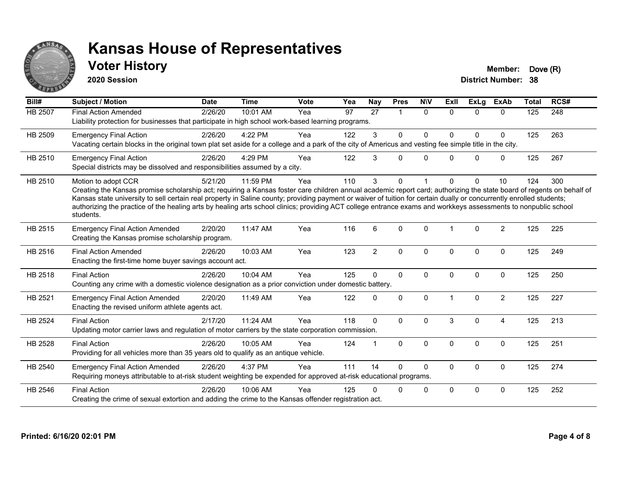

#### **Voter History Member: Dove (R)**

**2020 Session**

| Bill#   | <b>Subject / Motion</b>                                                                                                                                                                                                                                                                                                                                                                                                                                                                                                                             | <b>Date</b> | <b>Time</b> | <b>Vote</b> | Yea | <b>Nay</b>     | <b>Pres</b>    | <b>NIV</b>   | ExII         | <b>ExLg</b>  | <b>ExAb</b>    | <b>Total</b> | RCS# |
|---------|-----------------------------------------------------------------------------------------------------------------------------------------------------------------------------------------------------------------------------------------------------------------------------------------------------------------------------------------------------------------------------------------------------------------------------------------------------------------------------------------------------------------------------------------------------|-------------|-------------|-------------|-----|----------------|----------------|--------------|--------------|--------------|----------------|--------------|------|
| HB 2507 | <b>Final Action Amended</b><br>Liability protection for businesses that participate in high school work-based learning programs.                                                                                                                                                                                                                                                                                                                                                                                                                    | 2/26/20     | 10:01 AM    | Yea         | 97  | 27             | $\overline{1}$ | $\mathbf{0}$ | $\Omega$     | $\Omega$     | $\Omega$       | 125          | 248  |
| HB 2509 | <b>Emergency Final Action</b><br>Vacating certain blocks in the original town plat set aside for a college and a park of the city of Americus and vesting fee simple title in the city.                                                                                                                                                                                                                                                                                                                                                             | 2/26/20     | 4:22 PM     | Yea         | 122 | 3              | $\mathbf 0$    | 0            | <sup>0</sup> | $\mathbf 0$  | $\mathbf 0$    | 125          | 263  |
| HB 2510 | <b>Emergency Final Action</b><br>Special districts may be dissolved and responsibilities assumed by a city.                                                                                                                                                                                                                                                                                                                                                                                                                                         | 2/26/20     | 4:29 PM     | Yea         | 122 | 3              | 0              | $\mathbf{0}$ | <sup>0</sup> | $\mathbf{0}$ | $\mathbf 0$    | 125          | 267  |
| HB 2510 | Motion to adopt CCR<br>Creating the Kansas promise scholarship act; requiring a Kansas foster care children annual academic report card; authorizing the state board of regents on behalf of<br>Kansas state university to sell certain real property in Saline county; providing payment or waiver of tuition for certain dually or concurrently enrolled students;<br>authorizing the practice of the healing arts by healing arts school clinics; providing ACT college entrance exams and workkeys assessments to nonpublic school<br>students. | 5/21/20     | 11:59 PM    | Yea         | 110 | 3              | 0              |              |              | $\Omega$     | 10             | 124          | 300  |
| HB 2515 | <b>Emergency Final Action Amended</b><br>Creating the Kansas promise scholarship program.                                                                                                                                                                                                                                                                                                                                                                                                                                                           | 2/20/20     | 11:47 AM    | Yea         | 116 | 6              | $\Omega$       | $\Omega$     |              | $\Omega$     | $\overline{2}$ | 125          | 225  |
| HB 2516 | <b>Final Action Amended</b><br>Enacting the first-time home buyer savings account act.                                                                                                                                                                                                                                                                                                                                                                                                                                                              | 2/26/20     | 10:03 AM    | Yea         | 123 | $\overline{c}$ | $\mathbf 0$    | 0            | $\Omega$     | $\mathbf 0$  | $\mathbf 0$    | 125          | 249  |
| HB 2518 | <b>Final Action</b><br>Counting any crime with a domestic violence designation as a prior conviction under domestic battery.                                                                                                                                                                                                                                                                                                                                                                                                                        | 2/26/20     | 10:04 AM    | Yea         | 125 | $\Omega$       | $\mathbf{0}$   | 0            | $\Omega$     | $\mathbf 0$  | $\mathbf 0$    | 125          | 250  |
| HB 2521 | <b>Emergency Final Action Amended</b><br>Enacting the revised uniform athlete agents act.                                                                                                                                                                                                                                                                                                                                                                                                                                                           | 2/20/20     | 11:49 AM    | Yea         | 122 | 0              | $\mathbf{0}$   | $\Omega$     |              | $\Omega$     | $\overline{2}$ | 125          | 227  |
| HB 2524 | <b>Final Action</b><br>Updating motor carrier laws and regulation of motor carriers by the state corporation commission.                                                                                                                                                                                                                                                                                                                                                                                                                            | 2/17/20     | 11:24 AM    | Yea         | 118 | $\Omega$       | $\Omega$       | $\mathbf{0}$ | 3            | $\Omega$     | 4              | 125          | 213  |
| HB 2528 | <b>Final Action</b><br>Providing for all vehicles more than 35 years old to qualify as an antique vehicle.                                                                                                                                                                                                                                                                                                                                                                                                                                          | 2/26/20     | 10:05 AM    | Yea         | 124 |                | $\Omega$       | $\mathbf{0}$ | $\Omega$     | $\mathbf{0}$ | $\mathbf{0}$   | 125          | 251  |
| HB 2540 | <b>Emergency Final Action Amended</b><br>Requiring moneys attributable to at-risk student weighting be expended for approved at-risk educational programs.                                                                                                                                                                                                                                                                                                                                                                                          | 2/26/20     | 4:37 PM     | Yea         | 111 | 14             | $\Omega$       | 0            | 0            | $\mathbf 0$  | $\mathbf 0$    | 125          | 274  |
| HB 2546 | <b>Final Action</b><br>Creating the crime of sexual extortion and adding the crime to the Kansas offender registration act.                                                                                                                                                                                                                                                                                                                                                                                                                         | 2/26/20     | 10:06 AM    | Yea         | 125 | U              | 0              | 0            | $\Omega$     | $\Omega$     | $\mathbf 0$    | 125          | 252  |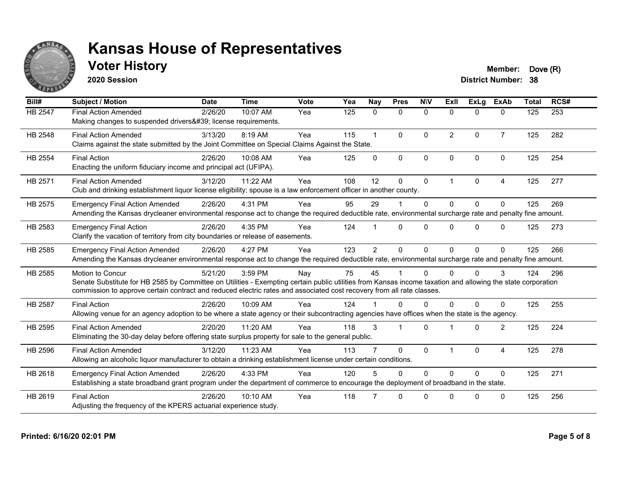

### **Voter History Member: Dove (R)**

**2020 Session**

| Bill#   | <b>Subject / Motion</b>                                                                                                                                                                                                                                                                                  | <b>Date</b> | <b>Time</b> | Vote | Yea | Nay            | <b>Pres</b>    | <b>NIV</b>   | ExII                 | <b>ExLa</b>  | <b>ExAb</b>    | <b>Total</b> | RCS# |
|---------|----------------------------------------------------------------------------------------------------------------------------------------------------------------------------------------------------------------------------------------------------------------------------------------------------------|-------------|-------------|------|-----|----------------|----------------|--------------|----------------------|--------------|----------------|--------------|------|
| HB 2547 | <b>Final Action Amended</b><br>Making changes to suspended drivers' license requirements.                                                                                                                                                                                                                | 2/26/20     | 10:07 AM    | Yea  | 125 | $\mathbf{0}$   | $\mathbf{0}$   | $\mathbf{0}$ | $\Omega$             | $\mathbf{0}$ | $\mathbf{0}$   | 125          | 253  |
| HB 2548 | <b>Final Action Amended</b><br>Claims against the state submitted by the Joint Committee on Special Claims Against the State.                                                                                                                                                                            | 3/13/20     | 8:19 AM     | Yea  | 115 | $\mathbf 1$    | $\Omega$       | $\Omega$     | 2                    | $\Omega$     | $\overline{7}$ | 125          | 282  |
| HB 2554 | <b>Final Action</b><br>Enacting the uniform fiduciary income and principal act (UFIPA).                                                                                                                                                                                                                  | 2/26/20     | 10:08 AM    | Yea  | 125 | $\Omega$       | $\mathbf{0}$   | $\Omega$     | $\Omega$             | $\Omega$     | $\mathbf{0}$   | 125          | 254  |
| HB 2571 | <b>Final Action Amended</b><br>Club and drinking establishment liquor license eligibility; spouse is a law enforcement officer in another county.                                                                                                                                                        | 3/12/20     | 11:22 AM    | Yea  | 108 | 12             | $\mathbf 0$    | 0            | $\blacktriangleleft$ | $\mathbf 0$  | $\overline{4}$ | 125          | 277  |
| HB 2575 | <b>Emergency Final Action Amended</b><br>Amending the Kansas drycleaner environmental response act to change the required deductible rate, environmental surcharge rate and penalty fine amount.                                                                                                         | 2/26/20     | 4:31 PM     | Yea  | 95  | 29             |                | $\mathbf{0}$ | $\Omega$             | $\Omega$     | $\mathbf{0}$   | 125          | 269  |
| HB 2583 | <b>Emergency Final Action</b><br>Clarify the vacation of territory from city boundaries or release of easements.                                                                                                                                                                                         | 2/26/20     | 4:35 PM     | Yea  | 124 |                | $\Omega$       | $\Omega$     | 0                    | $\Omega$     | $\Omega$       | 125          | 273  |
| HB 2585 | <b>Emergency Final Action Amended</b><br>Amending the Kansas drycleaner environmental response act to change the required deductible rate, environmental surcharge rate and penalty fine amount.                                                                                                         | 2/26/20     | 4:27 PM     | Yea  | 123 | $\overline{2}$ | $\mathbf{0}$   | $\Omega$     | 0                    | $\Omega$     | $\mathbf{0}$   | 125          | 266  |
| HB 2585 | Motion to Concur<br>Senate Substitute for HB 2585 by Committee on Utilities - Exempting certain public utilities from Kansas income taxation and allowing the state corporation<br>commission to approve certain contract and reduced electric rates and associated cost recovery from all rate classes. | 5/21/20     | 3:59 PM     | Nay  | 75  | 45             |                | 0            |                      | $\Omega$     | 3              | 124          | 296  |
| HB 2587 | <b>Final Action</b><br>Allowing venue for an agency adoption to be where a state agency or their subcontracting agencies have offices when the state is the agency.                                                                                                                                      | 2/26/20     | 10:09 AM    | Yea  | 124 |                | $\Omega$       | $\Omega$     | $\Omega$             | $\Omega$     | $\Omega$       | 125          | 255  |
| HB 2595 | <b>Final Action Amended</b><br>Eliminating the 30-day delay before offering state surplus property for sale to the general public.                                                                                                                                                                       | 2/20/20     | 11:20 AM    | Yea  | 118 | 3              | $\overline{1}$ | $\Omega$     |                      | $\Omega$     | 2              | 125          | 224  |
| HB 2596 | <b>Final Action Amended</b><br>Allowing an alcoholic liquor manufacturer to obtain a drinking establishment license under certain conditions.                                                                                                                                                            | 3/12/20     | 11:23 AM    | Yea  | 113 |                | $\Omega$       | $\mathbf{0}$ | -1                   | $\mathbf{0}$ | $\overline{4}$ | 125          | 278  |
| HB 2618 | <b>Emergency Final Action Amended</b><br>Establishing a state broadband grant program under the department of commerce to encourage the deployment of broadband in the state.                                                                                                                            | 2/26/20     | 4:33 PM     | Yea  | 120 | 5              | $\Omega$       | $\Omega$     | $\Omega$             | $\Omega$     | $\mathbf{0}$   | 125          | 271  |
| HB 2619 | <b>Final Action</b><br>Adjusting the frequency of the KPERS actuarial experience study.                                                                                                                                                                                                                  | 2/26/20     | 10:10 AM    | Yea  | 118 |                | $\Omega$       | 0            | <sup>0</sup>         | $\Omega$     | $\mathbf{0}$   | 125          | 256  |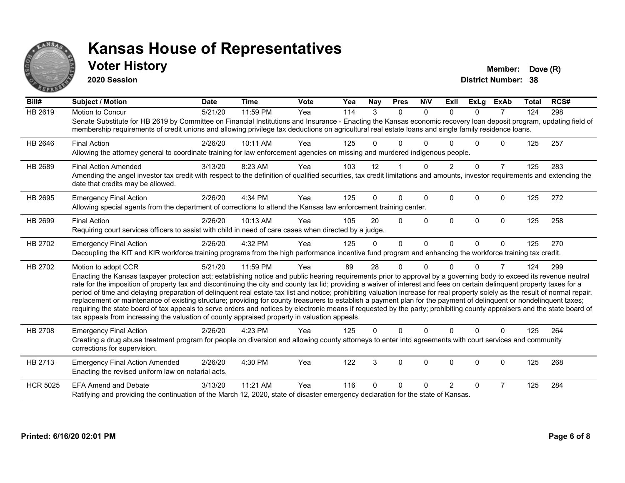

#### **Voter History Member: Dove (R)**

**2020 Session**

| Bill#           | <b>Subject / Motion</b>                                                                                                                                                                                                                                                                                                                                                                                                                                                                                                                                                                                                                                                                                                                                                                                                                                                                                                                                                                                       | <b>Date</b> | <b>Time</b> | <b>Vote</b> | Yea | Nav      | <b>Pres</b> | <b>NIV</b> | ExII           | <b>ExLg</b> | <b>ExAb</b>    | <b>Total</b> | RCS# |
|-----------------|---------------------------------------------------------------------------------------------------------------------------------------------------------------------------------------------------------------------------------------------------------------------------------------------------------------------------------------------------------------------------------------------------------------------------------------------------------------------------------------------------------------------------------------------------------------------------------------------------------------------------------------------------------------------------------------------------------------------------------------------------------------------------------------------------------------------------------------------------------------------------------------------------------------------------------------------------------------------------------------------------------------|-------------|-------------|-------------|-----|----------|-------------|------------|----------------|-------------|----------------|--------------|------|
| <b>HB 2619</b>  | Motion to Concur<br>Senate Substitute for HB 2619 by Committee on Financial Institutions and Insurance - Enacting the Kansas economic recovery loan deposit program, updating field of<br>membership requirements of credit unions and allowing privilege tax deductions on agricultural real estate loans and single family residence loans.                                                                                                                                                                                                                                                                                                                                                                                                                                                                                                                                                                                                                                                                 | 5/21/20     | 11:59 PM    | Yea         | 114 | 3        | $\Omega$    | $\Omega$   | $\Omega$       | $\Omega$    | $\overline{7}$ | 124          | 298  |
| HB 2646         | <b>Final Action</b><br>Allowing the attorney general to coordinate training for law enforcement agencies on missing and murdered indigenous people.                                                                                                                                                                                                                                                                                                                                                                                                                                                                                                                                                                                                                                                                                                                                                                                                                                                           | 2/26/20     | 10:11 AM    | Yea         | 125 | U        | U           |            |                | U           | 0              | 125          | 257  |
| HB 2689         | <b>Final Action Amended</b><br>Amending the angel investor tax credit with respect to the definition of qualified securities, tax credit limitations and amounts, investor requirements and extending the<br>date that credits may be allowed.                                                                                                                                                                                                                                                                                                                                                                                                                                                                                                                                                                                                                                                                                                                                                                | 3/13/20     | 8:23 AM     | Yea         | 103 | 12       |             | $\Omega$   | $\overline{2}$ | $\Omega$    | $\overline{7}$ | 125          | 283  |
| HB 2695         | <b>Emergency Final Action</b><br>Allowing special agents from the department of corrections to attend the Kansas law enforcement training center.                                                                                                                                                                                                                                                                                                                                                                                                                                                                                                                                                                                                                                                                                                                                                                                                                                                             | 2/26/20     | 4:34 PM     | Yea         | 125 | 0        | $\Omega$    | $\Omega$   | $\Omega$       | 0           | $\Omega$       | 125          | 272  |
| HB 2699         | <b>Final Action</b><br>Requiring court services officers to assist with child in need of care cases when directed by a judge.                                                                                                                                                                                                                                                                                                                                                                                                                                                                                                                                                                                                                                                                                                                                                                                                                                                                                 | 2/26/20     | 10:13 AM    | Yea         | 105 | 20       | $\Omega$    | $\Omega$   | $\Omega$       | $\Omega$    | $\Omega$       | 125          | 258  |
| HB 2702         | <b>Emergency Final Action</b><br>Decoupling the KIT and KIR workforce training programs from the high performance incentive fund program and enhancing the workforce training tax credit.                                                                                                                                                                                                                                                                                                                                                                                                                                                                                                                                                                                                                                                                                                                                                                                                                     | 2/26/20     | 4:32 PM     | Yea         | 125 | $\Omega$ | $\Omega$    | $\Omega$   | $\Omega$       | $\Omega$    | $\Omega$       | 125          | 270  |
| HB 2702         | Motion to adopt CCR<br>Enacting the Kansas taxpayer protection act; establishing notice and public hearing requirements prior to approval by a governing body to exceed its revenue neutral<br>rate for the imposition of property tax and discontinuing the city and county tax lid; providing a waiver of interest and fees on certain delinquent property taxes for a<br>period of time and delaying preparation of delinquent real estate tax list and notice; prohibiting valuation increase for real property solely as the result of normal repair,<br>replacement or maintenance of existing structure; providing for county treasurers to establish a payment plan for the payment of delinquent or nondelinquent taxes;<br>requiring the state board of tax appeals to serve orders and notices by electronic means if requested by the party; prohibiting county appraisers and the state board of<br>tax appeals from increasing the valuation of county appraised property in valuation appeals. | 5/21/20     | 11:59 PM    | Yea         | 89  | 28       | 0           | $\Omega$   |                | 0           | $\overline{7}$ | 124          | 299  |
| HB 2708         | <b>Emergency Final Action</b><br>Creating a drug abuse treatment program for people on diversion and allowing county attorneys to enter into agreements with court services and community<br>corrections for supervision.                                                                                                                                                                                                                                                                                                                                                                                                                                                                                                                                                                                                                                                                                                                                                                                     | 2/26/20     | 4:23 PM     | Yea         | 125 | 0        | $\Omega$    | $\Omega$   | $\Omega$       | $\Omega$    | $\Omega$       | 125          | 264  |
| HB 2713         | <b>Emergency Final Action Amended</b><br>Enacting the revised uniform law on notarial acts.                                                                                                                                                                                                                                                                                                                                                                                                                                                                                                                                                                                                                                                                                                                                                                                                                                                                                                                   | 2/26/20     | 4:30 PM     | Yea         | 122 | 3        | 0           | $\Omega$   | 0              | 0           | 0              | 125          | 268  |
| <b>HCR 5025</b> | <b>EFA Amend and Debate</b><br>Ratifying and providing the continuation of the March 12, 2020, state of disaster emergency declaration for the state of Kansas.                                                                                                                                                                                                                                                                                                                                                                                                                                                                                                                                                                                                                                                                                                                                                                                                                                               | 3/13/20     | 11:21 AM    | Yea         | 116 | 0        | U           | $\Omega$   | $\mathcal{P}$  | $\Omega$    | $\overline{7}$ | 125          | 284  |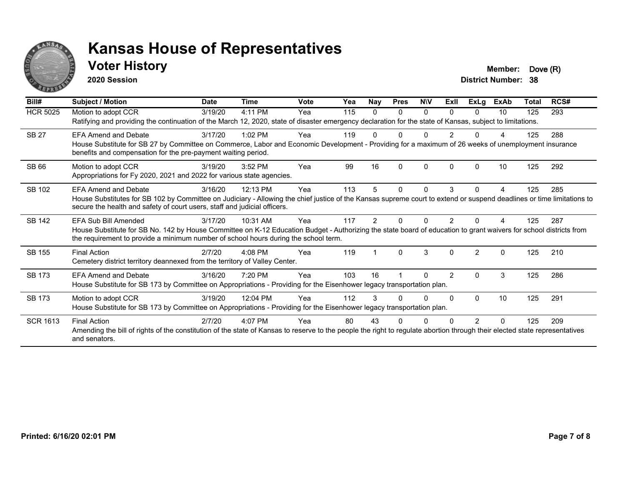

#### **Voter History Member: Dove (R)**

**2020 Session**

| Bill#           | <b>Subject / Motion</b>                                                                                                                                                                                                                                                           | <b>Date</b> | <b>Time</b> | <b>Vote</b> | Yea | <b>Nay</b> | <b>Pres</b> | <b>NIV</b> | ExII           | <b>ExLg</b>    | <b>ExAb</b> | <b>Total</b> | RCS# |
|-----------------|-----------------------------------------------------------------------------------------------------------------------------------------------------------------------------------------------------------------------------------------------------------------------------------|-------------|-------------|-------------|-----|------------|-------------|------------|----------------|----------------|-------------|--------------|------|
| <b>HCR 5025</b> | Motion to adopt CCR<br>Ratifying and providing the continuation of the March 12, 2020, state of disaster emergency declaration for the state of Kansas, subject to limitations.                                                                                                   | 3/19/20     | 4:11 PM     | Yea         | 115 | 0          | $\Omega$    | $\Omega$   | $\Omega$       | 0              | 10          | 125          | 293  |
| <b>SB 27</b>    | <b>EFA Amend and Debate</b><br>House Substitute for SB 27 by Committee on Commerce, Labor and Economic Development - Providing for a maximum of 26 weeks of unemployment insurance<br>benefits and compensation for the pre-payment waiting period.                               | 3/17/20     | $1:02$ PM   | Yea         | 119 |            | n           | N          |                |                |             | 125          | 288  |
| <b>SB66</b>     | Motion to adopt CCR<br>Appropriations for Fy 2020, 2021 and 2022 for various state agencies.                                                                                                                                                                                      | 3/19/20     | 3:52 PM     | Yea         | 99  | 16         | 0           | $\Omega$   | $\Omega$       | O              | 10          | 125          | 292  |
| SB 102          | <b>EFA Amend and Debate</b><br>House Substitutes for SB 102 by Committee on Judiciary - Allowing the chief justice of the Kansas supreme court to extend or suspend deadlines or time limitations to<br>secure the health and safety of court users, staff and judicial officers. | 3/16/20     | 12:13 PM    | Yea         | 113 | 5          | 0           | $\Omega$   | 3              | 0              | 4           | 125          | 285  |
| <b>SB 142</b>   | EFA Sub Bill Amended<br>House Substitute for SB No. 142 by House Committee on K-12 Education Budget - Authorizing the state board of education to grant waivers for school districts from<br>the requirement to provide a minimum number of school hours during the school term.  | 3/17/20     | 10:31 AM    | Yea         | 117 | 2          | U           |            |                |                |             | 125          | 287  |
| <b>SB 155</b>   | <b>Final Action</b><br>Cemetery district territory deannexed from the territory of Valley Center.                                                                                                                                                                                 | 2/7/20      | $4:08$ PM   | Yea         | 119 |            | $\Omega$    | 3          | $\Omega$       | $\mathfrak{p}$ | $\Omega$    | 125          | 210  |
| <b>SB 173</b>   | <b>EFA Amend and Debate</b><br>House Substitute for SB 173 by Committee on Appropriations - Providing for the Eisenhower legacy transportation plan.                                                                                                                              | 3/16/20     | 7:20 PM     | Yea         | 103 | 16         |             | N          | $\overline{2}$ | 0              | 3           | 125          | 286  |
| <b>SB 173</b>   | Motion to adopt CCR<br>House Substitute for SB 173 by Committee on Appropriations - Providing for the Eisenhower legacy transportation plan.                                                                                                                                      | 3/19/20     | 12:04 PM    | Yea         | 112 | 3          | U           | 0          |                | $\Omega$       | 10          | 125          | 291  |
| <b>SCR 1613</b> | <b>Final Action</b><br>Amending the bill of rights of the constitution of the state of Kansas to reserve to the people the right to regulate abortion through their elected state representatives<br>and senators.                                                                | 2/7/20      | 4:07 PM     | Yea         | 80  | 43         |             |            |                |                | ŋ           | 125          | 209  |